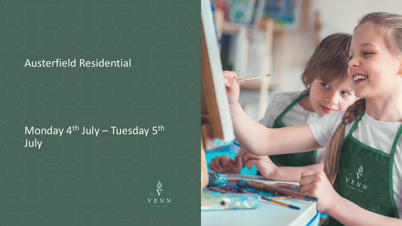#### Austerfield Residential

### Monday 4<sup>th</sup> July – Tuesday 5<sup>th</sup> July



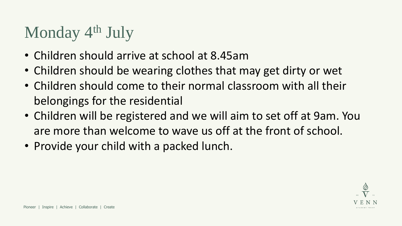## Monday 4<sup>th</sup> July

- Children should arrive at school at 8.45am
- Children should be wearing clothes that may get dirty or wet
- Children should come to their normal classroom with all their belongings for the residential
- Children will be registered and we will aim to set off at 9am. You are more than welcome to wave us off at the front of school.
- Provide your child with a packed lunch.

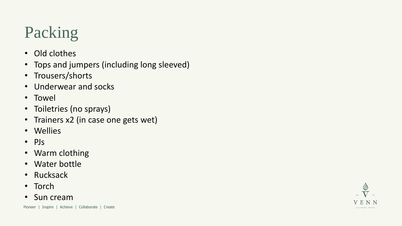# Packing

- Old clothes
- Tops and jumpers (including long sleeved)
- Trousers/shorts
- Underwear and socks
- Towel
- Toiletries (no sprays)
- Trainers x2 (in case one gets wet)
- Wellies
- PJs
- Warm clothing
- Water bottle
- Rucksack
- Torch
- Sun cream

Pioneer | Inspire | Achieve | Collaborate | Create

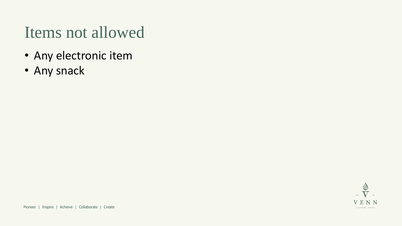### Items not allowed

- Any electronic item
- Any snack

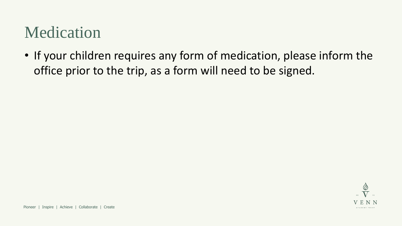## Medication

• If your children requires any form of medication, please inform the office prior to the trip, as a form will need to be signed.

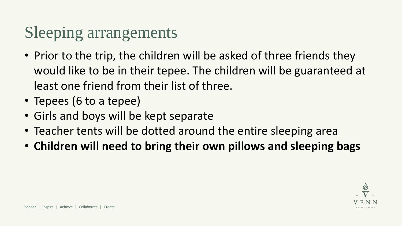## Sleeping arrangements

- Prior to the trip, the children will be asked of three friends they would like to be in their tepee. The children will be guaranteed at least one friend from their list of three.
- Tepees (6 to a tepee)
- Girls and boys will be kept separate
- Teacher tents will be dotted around the entire sleeping area
- **Children will need to bring their own pillows and sleeping bags**

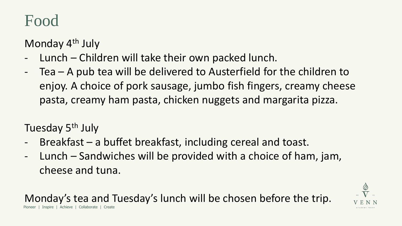## Food

Monday 4th July

- Lunch Children will take their own packed lunch.
- Tea A pub tea will be delivered to Austerfield for the children to enjoy. A choice of pork sausage, jumbo fish fingers, creamy cheese pasta, creamy ham pasta, chicken nuggets and margarita pizza.

Tuesday 5<sup>th</sup> July

- $Breakfast a buffer breast, including cereal and toast.$
- Lunch Sandwiches will be provided with a choice of ham, jam, cheese and tuna.

Inspire | Achieve | Collaborate | Monday's tea and Tuesday's lunch will be chosen before the trip.

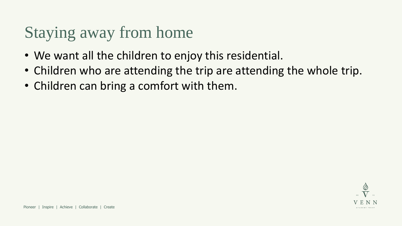## Staying away from home

- We want all the children to enjoy this residential.
- Children who are attending the trip are attending the whole trip.
- Children can bring a comfort with them.

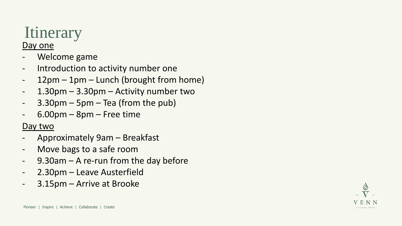# **Itinerary**

#### Day one

- Welcome game
- Introduction to activity number one
- 12pm 1pm Lunch (brought from home)
- 1.30pm 3.30pm Activity number two
- $-$  3.30pm  $-$  5pm  $-$  Tea (from the pub)
- $6.00$ pm 8pm Free time

#### Day two

- Approximately 9am Breakfast
- Move bags to a safe room
- 9.30am A re-run from the day before
- 2.30pm Leave Austerfield
- 3.15pm Arrive at Brooke

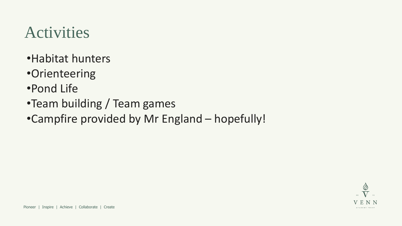## Activities

- •Habitat hunters
- •Orienteering
- •Pond Life
- •Team building / Team games
- •Campfire provided by Mr England hopefully!

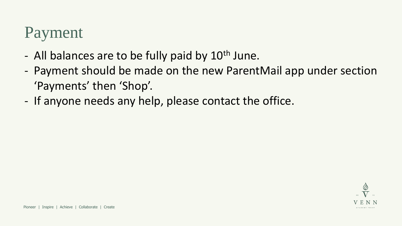## Payment

- All balances are to be fully paid by 10<sup>th</sup> June.
- Payment should be made on the new ParentMail app under section 'Payments' then 'Shop'.
- If anyone needs any help, please contact the office.

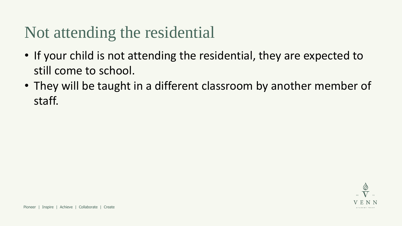## Not attending the residential

- If your child is not attending the residential, they are expected to still come to school.
- They will be taught in a different classroom by another member of staff.

ACADEMY TRUST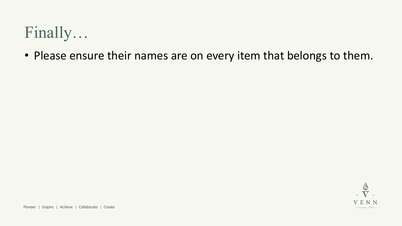## Finally…

• Please ensure their names are on every item that belongs to them.